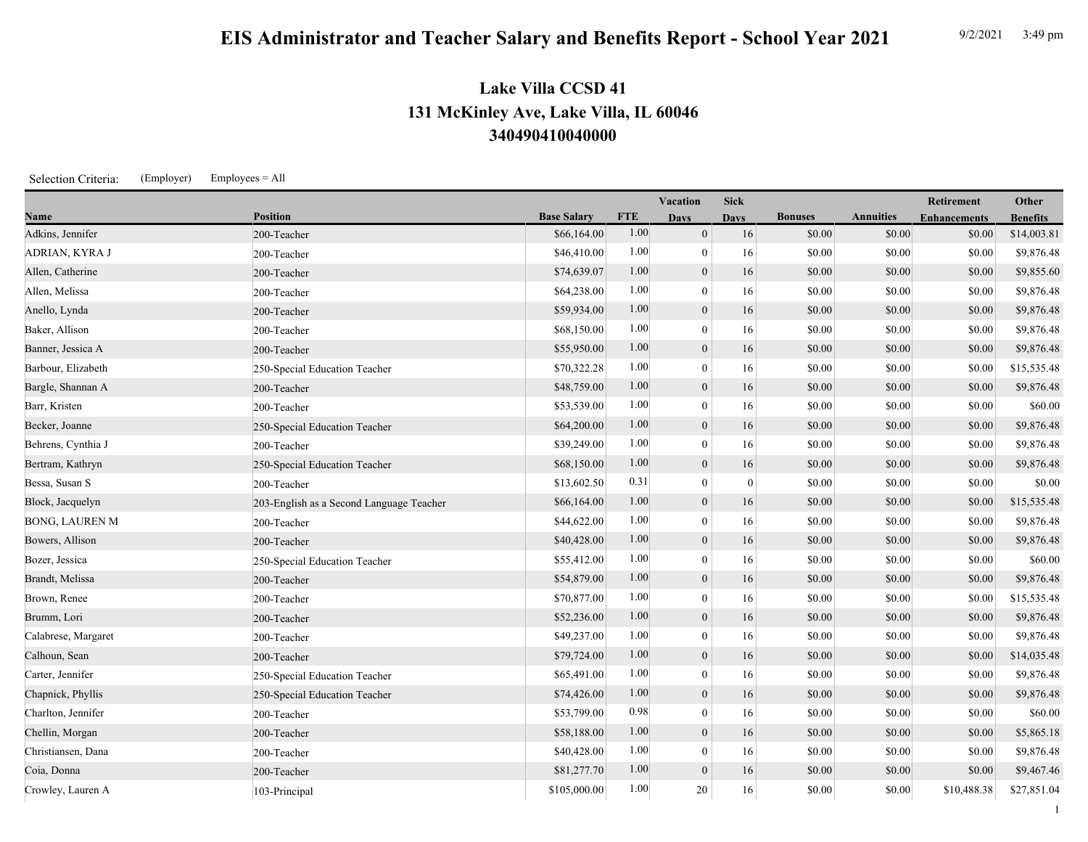## **EIS Administrator and Teacher Salary and Benefits Report - School Year 2021** 9/2/2021 3:49 pm

## **340490410040000 131 McKinley Ave, Lake Villa, IL 60046 Lake Villa CCSD 41**

Selection Criteria: (Employer) Employees = All

|                       |                                          |                    |            | Vacation         | <b>Sick</b>  |                |                  | Retirement          | Other           |
|-----------------------|------------------------------------------|--------------------|------------|------------------|--------------|----------------|------------------|---------------------|-----------------|
| Name                  | <b>Position</b>                          | <b>Base Salary</b> | <b>FTE</b> | <b>Days</b>      | <b>Days</b>  | <b>Bonuses</b> | <b>Annuities</b> | <b>Enhancements</b> | <b>Benefits</b> |
| Adkins, Jennifer      | 200-Teacher                              | \$66,164.00        | 1.00       | $\overline{0}$   | 16           | \$0.00         | \$0.00           | \$0.00              | \$14,003.81     |
| ADRIAN, KYRA J        | 200-Teacher                              | \$46,410.00        | 1.00       | $\theta$         | 16           | \$0.00         | \$0.00           | \$0.00              | \$9,876.48      |
| Allen, Catherine      | 200-Teacher                              | \$74,639.07        | 1.00       | $\mathbf{0}$     | 16           | \$0.00         | \$0.00           | \$0.00              | \$9,855.60      |
| Allen, Melissa        | 200-Teacher                              | \$64,238.00        | 1.00       | $\overline{0}$   | 16           | \$0.00         | \$0.00           | \$0.00              | \$9,876.48      |
| Anello, Lynda         | 200-Teacher                              | \$59,934.00        | 1.00       | $\mathbf{0}$     | 16           | \$0.00         | \$0.00           | \$0.00              | \$9,876.48      |
| Baker, Allison        | 200-Teacher                              | \$68,150.00        | 1.00       | $\mathbf{0}$     | 16           | \$0.00         | \$0.00           | \$0.00              | \$9,876.48      |
| Banner, Jessica A     | 200-Teacher                              | \$55,950.00        | 1.00       | $\boldsymbol{0}$ | 16           | \$0.00         | \$0.00           | \$0.00              | \$9,876.48      |
| Barbour, Elizabeth    | 250-Special Education Teacher            | \$70,322.28        | 1.00       | $\mathbf{0}$     | 16           | \$0.00         | \$0.00           | \$0.00              | \$15,535.48     |
| Bargle, Shannan A     | 200-Teacher                              | \$48,759.00        | 1.00       | $\overline{0}$   | 16           | \$0.00         | \$0.00           | \$0.00              | \$9,876.48      |
| Barr, Kristen         | 200-Teacher                              | \$53,539.00        | 1.00       | $\overline{0}$   | 16           | \$0.00         | \$0.00           | \$0.00              | \$60.00         |
| Becker, Joanne        | 250-Special Education Teacher            | \$64,200.00        | 1.00       | $\mathbf{0}$     | 16           | \$0.00         | \$0.00           | \$0.00              | \$9,876.48      |
| Behrens, Cynthia J    | 200-Teacher                              | \$39,249.00        | 1.00       | $\overline{0}$   | 16           | \$0.00         | \$0.00           | \$0.00              | \$9,876.48      |
| Bertram, Kathryn      | 250-Special Education Teacher            | \$68,150.00        | 1.00       | $\mathbf{0}$     | 16           | \$0.00         | \$0.00           | \$0.00              | \$9,876.48      |
| Bessa, Susan S        | 200-Teacher                              | \$13,602.50        | 0.31       | $\overline{0}$   | $\mathbf{0}$ | \$0.00         | \$0.00           | \$0.00              | \$0.00          |
| Block, Jacquelyn      | 203-English as a Second Language Teacher | \$66,164.00        | 1.00       | $\boldsymbol{0}$ | 16           | \$0.00         | \$0.00           | \$0.00              | \$15,535.48     |
| <b>BONG, LAUREN M</b> | 200-Teacher                              | \$44,622.00        | 1.00       | $\mathbf{0}$     | 16           | \$0.00         | \$0.00           | \$0.00              | \$9,876.48      |
| Bowers, Allison       | 200-Teacher                              | \$40,428.00        | 1.00       | $\overline{0}$   | 16           | \$0.00         | \$0.00           | \$0.00              | \$9,876.48      |
| Bozer, Jessica        | 250-Special Education Teacher            | \$55,412.00        | 1.00       | $\overline{0}$   | 16           | \$0.00         | \$0.00           | \$0.00              | \$60.00         |
| Brandt, Melissa       | 200-Teacher                              | \$54,879.00        | 1.00       | $\mathbf{0}$     | 16           | \$0.00         | \$0.00           | \$0.00              | \$9,876.48      |
| Brown, Renee          | 200-Teacher                              | \$70,877.00        | 1.00       | $\overline{0}$   | 16           | \$0.00         | \$0.00           | \$0.00              | \$15,535.48     |
| Brumm, Lori           | 200-Teacher                              | \$52,236.00        | 1.00       | $\boldsymbol{0}$ | 16           | \$0.00         | \$0.00           | \$0.00              | \$9,876.48      |
| Calabrese, Margaret   | 200-Teacher                              | \$49,237.00        | 1.00       | $\mathbf{0}$     | 16           | \$0.00         | \$0.00           | \$0.00              | \$9,876.48      |
| Calhoun, Sean         | 200-Teacher                              | \$79,724.00        | 1.00       | $\mathbf{0}$     | 16           | \$0.00         | \$0.00           | \$0.00              | \$14,035.48     |
| Carter, Jennifer      | 250-Special Education Teacher            | \$65,491.00        | 1.00       | $\overline{0}$   | 16           | \$0.00         | \$0.00           | \$0.00              | \$9,876.48      |
| Chapnick, Phyllis     | 250-Special Education Teacher            | \$74,426.00        | 1.00       | $\mathbf{0}$     | 16           | \$0.00         | \$0.00           | \$0.00              | \$9,876.48      |
| Charlton, Jennifer    | 200-Teacher                              | \$53,799.00        | 0.98       | $\overline{0}$   | 16           | \$0.00         | \$0.00           | \$0.00              | \$60.00         |
| Chellin, Morgan       | 200-Teacher                              | \$58,188.00        | 1.00       | $\mathbf{0}$     | 16           | \$0.00         | \$0.00           | \$0.00              | \$5,865.18      |
| Christiansen, Dana    | 200-Teacher                              | \$40,428.00        | 1.00       | $\overline{0}$   | 16           | \$0.00         | \$0.00           | \$0.00              | \$9,876.48      |
| Coia, Donna           | 200-Teacher                              | \$81,277.70        | 1.00       | $\mathbf{0}$     | 16           | \$0.00         | \$0.00           | \$0.00              | \$9,467.46      |
| Crowley, Lauren A     | 103-Principal                            | \$105,000.00       | 1.00       | 20               | 16           | \$0.00         | \$0.00           | \$10,488.38         | \$27,851.04     |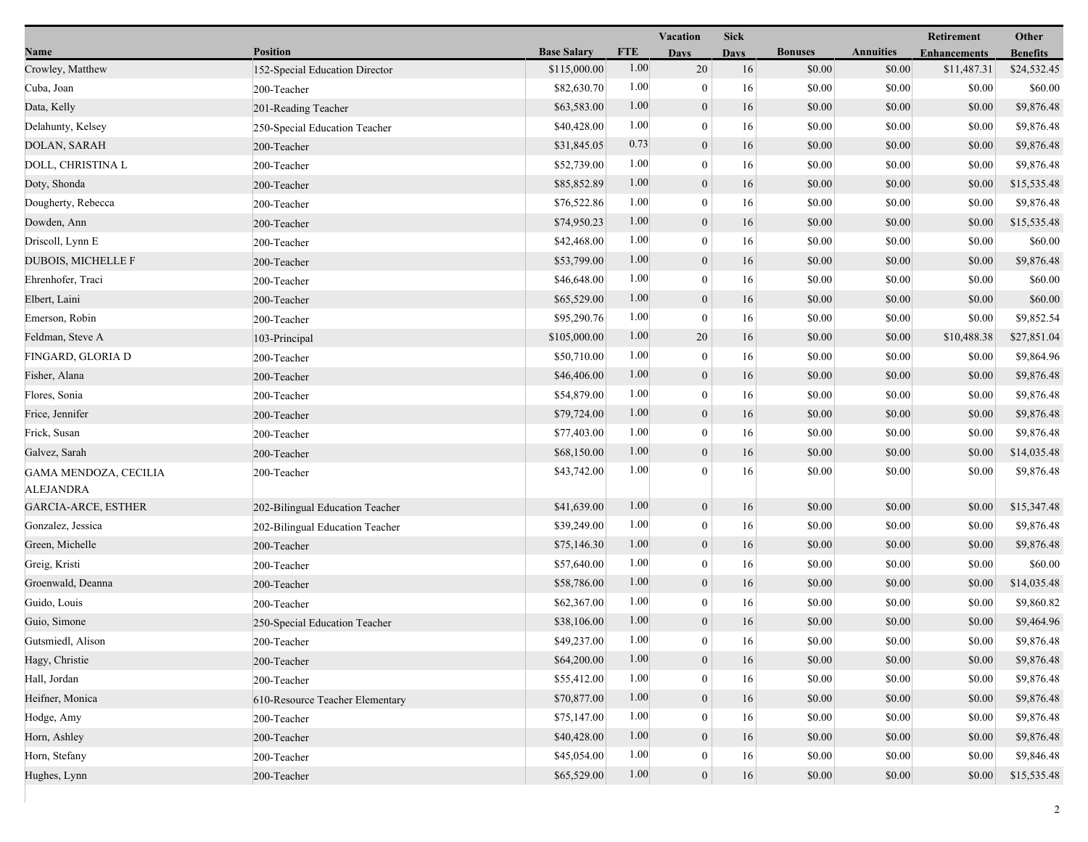|                                           |                                 |                    |            | <b>Vacation</b>  | <b>Sick</b> |                |                  | Retirement          | Other           |
|-------------------------------------------|---------------------------------|--------------------|------------|------------------|-------------|----------------|------------------|---------------------|-----------------|
| Name                                      | <b>Position</b>                 | <b>Base Salary</b> | <b>FTE</b> | <b>Days</b>      | <b>Days</b> | <b>Bonuses</b> | <b>Annuities</b> | <b>Enhancements</b> | <b>Benefits</b> |
| Crowley, Matthew                          | 152-Special Education Director  | \$115,000.00       | 1.00       | 20               | 16          | \$0.00         | \$0.00           | \$11,487.31         | \$24,532.45     |
| Cuba, Joan                                | 200-Teacher                     | \$82,630.70        | 1.00       | $\bf{0}$         | 16          | \$0.00         | \$0.00           | \$0.00              | \$60.00         |
| Data, Kelly                               | 201-Reading Teacher             | \$63,583.00        | 1.00       | $\boldsymbol{0}$ | 16          | \$0.00         | \$0.00           | \$0.00              | \$9,876.48      |
| Delahunty, Kelsey                         | 250-Special Education Teacher   | \$40,428.00        | 1.00       | $\mathbf{0}$     | 16          | \$0.00         | \$0.00           | \$0.00              | \$9,876.48      |
| DOLAN, SARAH                              | 200-Teacher                     | \$31,845.05        | 0.73       | $\boldsymbol{0}$ | 16          | \$0.00         | \$0.00           | \$0.00              | \$9,876.48      |
| DOLL, CHRISTINA L                         | 200-Teacher                     | \$52,739.00        | 1.00       | $\boldsymbol{0}$ | 16          | \$0.00         | \$0.00           | \$0.00              | \$9,876.48      |
| Doty, Shonda                              | 200-Teacher                     | \$85,852.89        | 1.00       | $\mathbf{0}$     | 16          | \$0.00         | \$0.00           | \$0.00              | \$15,535.48     |
| Dougherty, Rebecca                        | 200-Teacher                     | \$76,522.86        | 1.00       | $\bf{0}$         | 16          | \$0.00         | \$0.00           | \$0.00              | \$9,876.48      |
| Dowden, Ann                               | 200-Teacher                     | \$74,950.23        | 1.00       | $\boldsymbol{0}$ | 16          | \$0.00         | \$0.00           | \$0.00              | \$15,535.48     |
| Driscoll, Lynn E                          | 200-Teacher                     | \$42,468.00        | 1.00       | $\mathbf{0}$     | 16          | \$0.00         | \$0.00           | \$0.00              | \$60.00         |
| <b>DUBOIS, MICHELLE F</b>                 | 200-Teacher                     | \$53,799.00        | 1.00       | $\boldsymbol{0}$ | 16          | \$0.00         | \$0.00           | \$0.00              | \$9,876.48      |
| Ehrenhofer, Traci                         | 200-Teacher                     | \$46,648.00        | 1.00       | $\bf{0}$         | 16          | \$0.00         | \$0.00           | \$0.00              | \$60.00         |
| Elbert, Laini                             | 200-Teacher                     | \$65,529.00        | 1.00       | $\mathbf{0}$     | 16          | \$0.00         | \$0.00           | \$0.00              | \$60.00         |
| Emerson, Robin                            | 200-Teacher                     | \$95,290.76        | 1.00       | $\boldsymbol{0}$ | 16          | \$0.00         | \$0.00           | \$0.00              | \$9,852.54      |
| Feldman, Steve A                          | 103-Principal                   | \$105,000.00       | 1.00       | 20               | 16          | \$0.00         | \$0.00           | \$10,488.38         | \$27,851.04     |
| FINGARD, GLORIA D                         | 200-Teacher                     | \$50,710.00        | 1.00       | $\mathbf{0}$     | 16          | \$0.00         | \$0.00           | \$0.00              | \$9,864.96      |
| Fisher, Alana                             | 200-Teacher                     | \$46,406.00        | 1.00       | $\boldsymbol{0}$ | 16          | \$0.00         | \$0.00           | \$0.00              | \$9,876.48      |
| Flores, Sonia                             | 200-Teacher                     | \$54,879.00        | 1.00       | $\boldsymbol{0}$ | 16          | \$0.00         | \$0.00           | \$0.00              | \$9,876.48      |
| Frice, Jennifer                           | 200-Teacher                     | \$79,724.00        | 1.00       | $\mathbf{0}$     | 16          | \$0.00         | \$0.00           | \$0.00              | \$9,876.48      |
| Frick, Susan                              | 200-Teacher                     | \$77,403.00        | 1.00       | $\bf{0}$         | 16          | \$0.00         | \$0.00           | \$0.00              | \$9,876.48      |
| Galvez, Sarah                             | 200-Teacher                     | \$68,150.00        | 1.00       | $\boldsymbol{0}$ | 16          | \$0.00         | \$0.00           | \$0.00              | \$14,035.48     |
| GAMA MENDOZA, CECILIA<br><b>ALEJANDRA</b> | 200-Teacher                     | \$43,742.00        | 1.00       | $\theta$         | 16          | \$0.00         | \$0.00           | \$0.00              | \$9,876.48      |
| <b>GARCIA-ARCE, ESTHER</b>                | 202-Bilingual Education Teacher | \$41,639.00        | 1.00       | $\boldsymbol{0}$ | 16          | \$0.00         | \$0.00           | \$0.00              | \$15,347.48     |
| Gonzalez, Jessica                         | 202-Bilingual Education Teacher | \$39,249.00        | 1.00       | $\boldsymbol{0}$ | 16          | \$0.00         | \$0.00           | \$0.00              | \$9,876.48      |
| Green, Michelle                           | 200-Teacher                     | \$75,146.30        | 1.00       | $\boldsymbol{0}$ | 16          | \$0.00         | \$0.00           | \$0.00              | \$9,876.48      |
| Greig, Kristi                             | 200-Teacher                     | \$57,640.00        | 1.00       | $\bf{0}$         | 16          | \$0.00         | \$0.00           | \$0.00              | \$60.00         |
| Groenwald, Deanna                         | 200-Teacher                     | \$58,786.00        | 1.00       | $\mathbf{0}$     | 16          | \$0.00         | \$0.00           | \$0.00              | \$14,035.48     |
| Guido, Louis                              | 200-Teacher                     | \$62,367.00        | 1.00       | $\boldsymbol{0}$ | 16          | \$0.00         | \$0.00           | \$0.00              | \$9,860.82      |
| Guio, Simone                              | 250-Special Education Teacher   | \$38,106.00        | 1.00       | $\boldsymbol{0}$ | 16          | \$0.00         | \$0.00           | \$0.00              | \$9,464.96      |
| Gutsmiedl, Alison                         | 200-Teacher                     | \$49,237.00        | 1.00       | $\boldsymbol{0}$ | 16          | $\$0.00$       | $\$0.00$         | \$0.00              | \$9,876.48      |
| Hagy, Christie                            | 200-Teacher                     | \$64,200.00        | 1.00       | $\boldsymbol{0}$ | 16          | \$0.00         | \$0.00           | \$0.00              | \$9,876.48      |
| Hall, Jordan                              | 200-Teacher                     | \$55,412.00        | 1.00       | 0                | 16          | \$0.00         | \$0.00           | \$0.00              | \$9,876.48      |
| Heifner, Monica                           | 610-Resource Teacher Elementary | \$70,877.00        | 1.00       | $\mathbf{0}$     | 16          | \$0.00         | \$0.00           | \$0.00              | \$9,876.48      |
| Hodge, Amy                                | 200-Teacher                     | \$75,147.00        | 1.00       | 0                | 16          | \$0.00         | \$0.00           | \$0.00              | \$9,876.48      |
| Horn, Ashley                              | 200-Teacher                     | \$40,428.00        | 1.00       | $\mathbf{0}$     | 16          | \$0.00         | \$0.00           | \$0.00              | \$9,876.48      |
| Horn, Stefany                             | 200-Teacher                     | \$45,054.00        | 1.00       | 0                | 16          | \$0.00         | \$0.00           | \$0.00              | \$9,846.48      |
| Hughes, Lynn                              | 200-Teacher                     | \$65,529.00        | 1.00       | $\boldsymbol{0}$ | $16\,$      | \$0.00         | \$0.00           | \$0.00              | \$15,535.48     |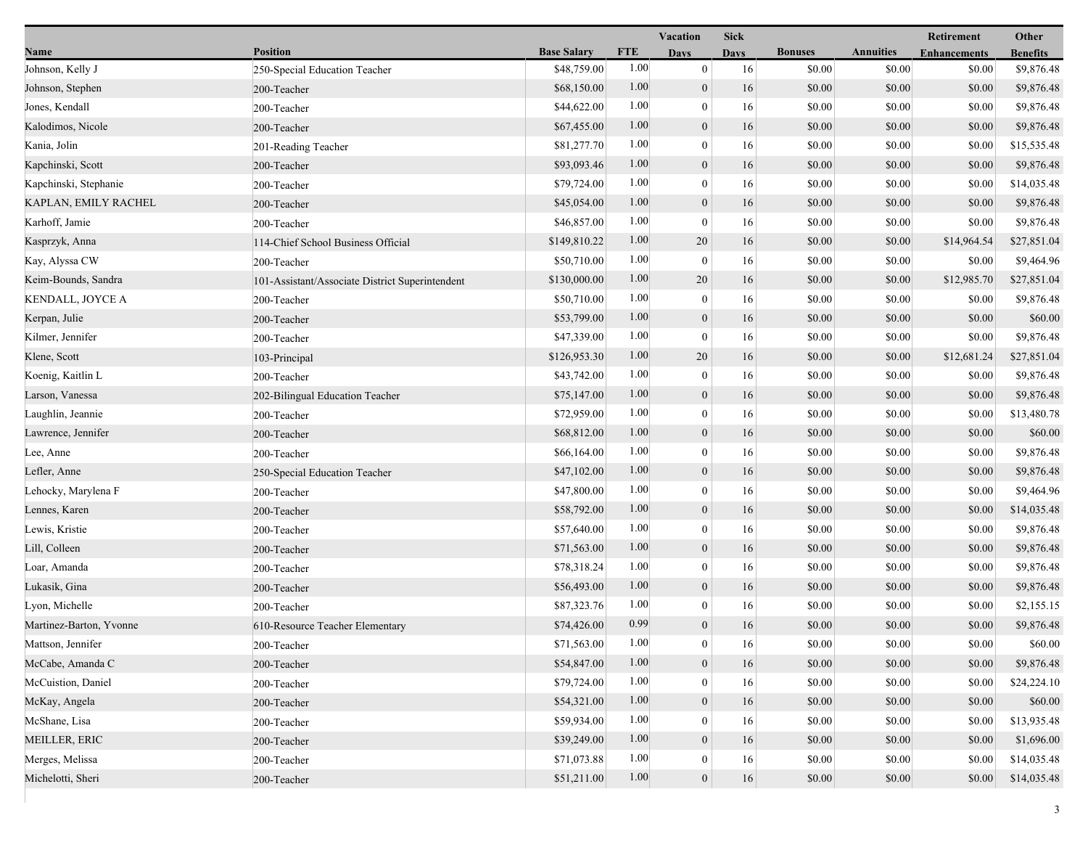|                         |                                                 |                    |            | Vacation         | <b>Sick</b> |                |                  | Retirement          | Other           |
|-------------------------|-------------------------------------------------|--------------------|------------|------------------|-------------|----------------|------------------|---------------------|-----------------|
| Name                    | <b>Position</b>                                 | <b>Base Salary</b> | <b>FTE</b> | <b>Days</b>      | <b>Days</b> | <b>Bonuses</b> | <b>Annuities</b> | <b>Enhancements</b> | <b>Benefits</b> |
| Johnson, Kelly J        | 250-Special Education Teacher                   | \$48,759.00        | 1.00       | $\mathbf{0}$     | 16          | \$0.00         | \$0.00           | \$0.00              | \$9,876.48      |
| Johnson, Stephen        | 200-Teacher                                     | \$68,150.00        | 1.00       | $\boldsymbol{0}$ | 16          | \$0.00         | \$0.00           | \$0.00              | \$9,876.48      |
| Jones, Kendall          | 200-Teacher                                     | \$44,622.00        | 1.00       | $\boldsymbol{0}$ | 16          | \$0.00         | \$0.00           | \$0.00              | \$9,876.48      |
| Kalodimos, Nicole       | 200-Teacher                                     | \$67,455.00        | 1.00       | $\boldsymbol{0}$ | 16          | \$0.00         | \$0.00           | \$0.00              | \$9,876.48      |
| Kania, Jolin            | 201-Reading Teacher                             | \$81,277.70        | 1.00       | $\mathbf{0}$     | 16          | \$0.00         | \$0.00           | \$0.00              | \$15,535.48     |
| Kapchinski, Scott       | 200-Teacher                                     | \$93,093.46        | 1.00       | $\boldsymbol{0}$ | 16          | \$0.00         | \$0.00           | \$0.00              | \$9,876.48      |
| Kapchinski, Stephanie   | 200-Teacher                                     | \$79,724.00        | 1.00       | $\mathbf{0}$     | 16          | \$0.00         | \$0.00           | \$0.00              | \$14,035.48     |
| KAPLAN, EMILY RACHEL    | 200-Teacher                                     | \$45,054.00        | 1.00       | $\mathbf{0}$     | 16          | \$0.00         | \$0.00           | \$0.00              | \$9,876.48      |
| Karhoff, Jamie          | 200-Teacher                                     | \$46,857.00        | 1.00       | $\boldsymbol{0}$ | 16          | \$0.00         | \$0.00           | \$0.00              | \$9,876.48      |
| Kasprzyk, Anna          | 114-Chief School Business Official              | \$149,810.22       | 1.00       | 20               | 16          | \$0.00         | \$0.00           | \$14,964.54         | \$27,851.04     |
| Kay, Alyssa CW          | 200-Teacher                                     | \$50,710.00        | 1.00       | $\boldsymbol{0}$ | 16          | \$0.00         | \$0.00           | \$0.00              | \$9,464.96      |
| Keim-Bounds, Sandra     | 101-Assistant/Associate District Superintendent | \$130,000.00       | 1.00       | 20               | 16          | \$0.00         | \$0.00           | \$12,985.70         | \$27,851.04     |
| KENDALL, JOYCE A        | 200-Teacher                                     | \$50,710.00        | 1.00       | $\mathbf{0}$     | 16          | \$0.00         | \$0.00           | \$0.00              | \$9,876.48      |
| Kerpan, Julie           | 200-Teacher                                     | \$53,799.00        | 1.00       | $\mathbf{0}$     | 16          | \$0.00         | \$0.00           | \$0.00              | \$60.00         |
| Kilmer, Jennifer        | 200-Teacher                                     | \$47,339.00        | 1.00       | $\boldsymbol{0}$ | 16          | \$0.00         | \$0.00           | \$0.00              | \$9,876.48      |
| Klene, Scott            | 103-Principal                                   | \$126,953.30       | 1.00       | 20               | 16          | \$0.00         | \$0.00           | \$12,681.24         | \$27,851.04     |
| Koenig, Kaitlin L       | 200-Teacher                                     | \$43,742.00        | 1.00       | $\boldsymbol{0}$ | 16          | \$0.00         | \$0.00           | \$0.00              | \$9,876.48      |
| Larson, Vanessa         | 202-Bilingual Education Teacher                 | \$75,147.00        | 1.00       | $\boldsymbol{0}$ | 16          | \$0.00         | \$0.00           | \$0.00              | \$9,876.48      |
| Laughlin, Jeannie       | 200-Teacher                                     | \$72,959.00        | 1.00       | $\mathbf{0}$     | 16          | \$0.00         | \$0.00           | \$0.00              | \$13,480.78     |
| Lawrence, Jennifer      | 200-Teacher                                     | \$68,812.00        | 1.00       | $\mathbf{0}$     | 16          | \$0.00         | \$0.00           | \$0.00              | \$60.00         |
| Lee, Anne               | 200-Teacher                                     | \$66,164.00        | 1.00       | $\mathbf{0}$     | 16          | \$0.00         | \$0.00           | \$0.00              | \$9,876.48      |
| Lefler, Anne            | 250-Special Education Teacher                   | \$47,102.00        | 1.00       | $\mathbf{0}$     | 16          | \$0.00         | \$0.00           | \$0.00              | \$9,876.48      |
| Lehocky, Marylena F     | 200-Teacher                                     | \$47,800.00        | 1.00       | $\bf{0}$         | 16          | \$0.00         | \$0.00           | \$0.00              | \$9,464.96      |
| Lennes, Karen           | 200-Teacher                                     | \$58,792.00        | 1.00       | $\mathbf{0}$     | 16          | \$0.00         | \$0.00           | \$0.00              | \$14,035.48     |
| Lewis, Kristie          | 200-Teacher                                     | \$57,640.00        | 1.00       | $\mathbf{0}$     | 16          | \$0.00         | \$0.00           | \$0.00              | \$9,876.48      |
| Lill, Colleen           | 200-Teacher                                     | \$71,563.00        | 1.00       | $\mathbf{0}$     | 16          | \$0.00         | \$0.00           | \$0.00              | \$9,876.48      |
| Loar, Amanda            | 200-Teacher                                     | \$78,318.24        | 1.00       | $\boldsymbol{0}$ | 16          | \$0.00         | \$0.00           | \$0.00              | \$9,876.48      |
| Lukasik, Gina           | 200-Teacher                                     | \$56,493.00        | 1.00       | $\boldsymbol{0}$ | 16          | \$0.00         | \$0.00           | \$0.00              | \$9,876.48      |
| Lyon, Michelle          | 200-Teacher                                     | \$87,323.76        | 1.00       | $\bf{0}$         | 16          | \$0.00         | \$0.00           | \$0.00              | \$2,155.15      |
| Martinez-Barton, Yvonne | 610-Resource Teacher Elementary                 | \$74,426.00        | 0.99       | $\overline{0}$   | 16          | \$0.00         | \$0.00           | \$0.00              | \$9,876.48      |
| Mattson, Jennifer       | 200-Teacher                                     | \$71,563.00        | $1.00\,$   | $\theta$         | 16          | \$0.00         | \$0.00           | \$0.00              | \$60.00         |
| McCabe, Amanda C        | 200-Teacher                                     | \$54,847.00        | 1.00       | $\boldsymbol{0}$ | 16          | \$0.00         | \$0.00           | \$0.00              | \$9,876.48      |
| McCuistion, Daniel      | 200-Teacher                                     | \$79,724.00        | 1.00       | $\bf{0}$         | 16          | \$0.00         | \$0.00           | \$0.00              | \$24,224.10     |
| McKay, Angela           | 200-Teacher                                     | \$54,321.00        | 1.00       | $\boldsymbol{0}$ | 16          | \$0.00         | \$0.00           | \$0.00              | \$60.00         |
| McShane, Lisa           | 200-Teacher                                     | \$59,934.00        | 1.00       | $\theta$         | 16          | \$0.00         | \$0.00           | \$0.00              | \$13,935.48     |
| <b>MEILLER, ERIC</b>    | 200-Teacher                                     | \$39,249.00        | 1.00       | $\mathbf{0}$     | 16          | \$0.00         | \$0.00           | \$0.00              | \$1,696.00      |
| Merges, Melissa         | 200-Teacher                                     | \$71,073.88        | 1.00       | $\bf{0}$         | 16          | \$0.00         | \$0.00           | \$0.00              | \$14,035.48     |
| Michelotti, Sheri       | 200-Teacher                                     | \$51,211.00        | 1.00       | $\mathbf{0}$     | 16          | \$0.00         | \$0.00           | \$0.00              | \$14,035.48     |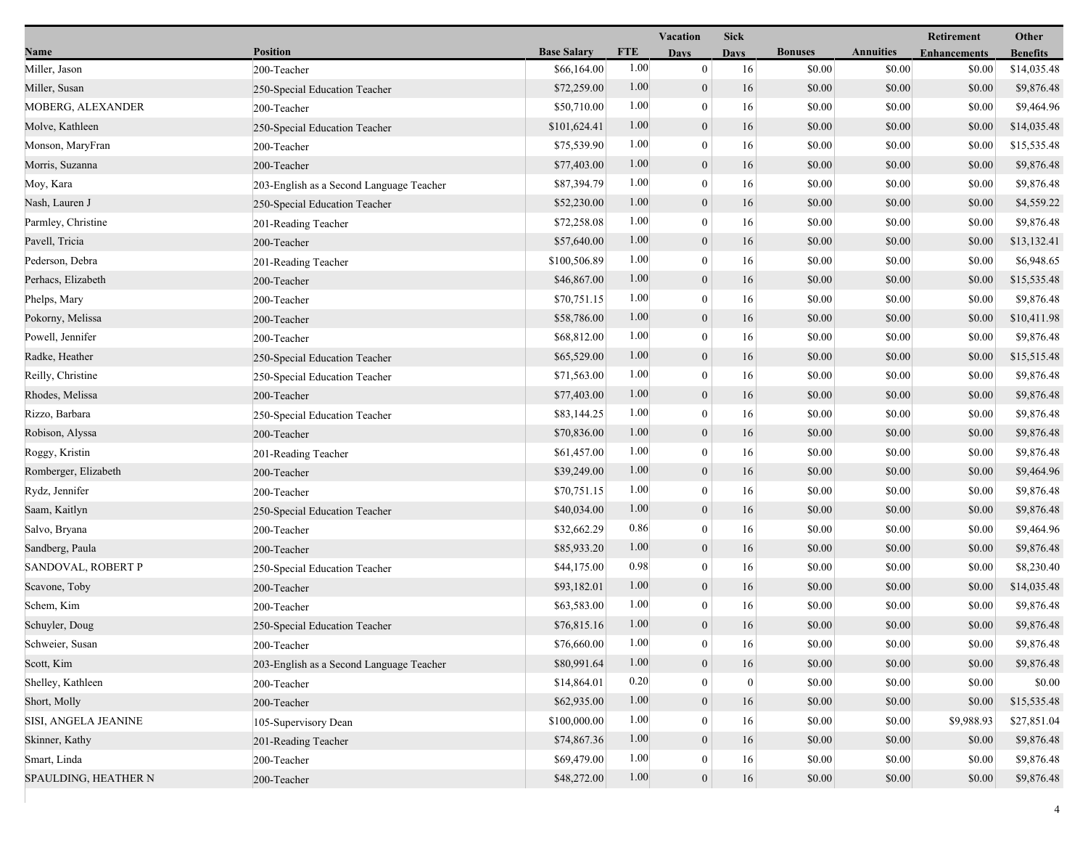|                      |                                          |                    |            | Vacation         | <b>Sick</b>      |                |                  | Retirement          | Other           |
|----------------------|------------------------------------------|--------------------|------------|------------------|------------------|----------------|------------------|---------------------|-----------------|
| Name                 | <b>Position</b>                          | <b>Base Salary</b> | <b>FTE</b> | <b>Days</b>      | Davs             | <b>Bonuses</b> | <b>Annuities</b> | <b>Enhancements</b> | <b>Benefits</b> |
| Miller, Jason        | 200-Teacher                              | \$66,164.00        | $1.00\,$   | $\mathbf{0}$     | 16               | \$0.00         | \$0.00           | \$0.00              | \$14,035.48     |
| Miller, Susan        | 250-Special Education Teacher            | \$72,259.00        | 1.00       | $\boldsymbol{0}$ | 16               | \$0.00         | \$0.00           | \$0.00              | \$9,876.48      |
| MOBERG, ALEXANDER    | 200-Teacher                              | \$50,710.00        | 1.00       | $\mathbf{0}$     | 16               | \$0.00         | \$0.00           | \$0.00              | \$9,464.96      |
| Molve, Kathleen      | 250-Special Education Teacher            | \$101,624.41       | 1.00       | $\mathbf{0}$     | 16               | \$0.00         | \$0.00           | \$0.00              | \$14,035.48     |
| Monson, MaryFran     | 200-Teacher                              | \$75,539.90        | 1.00       | $\mathbf{0}$     | 16               | \$0.00         | \$0.00           | \$0.00              | \$15,535.48     |
| Morris, Suzanna      | 200-Teacher                              | \$77,403.00        | 1.00       | $\boldsymbol{0}$ | 16               | \$0.00         | \$0.00           | \$0.00              | \$9,876.48      |
| Moy, Kara            | 203-English as a Second Language Teacher | \$87,394.79        | 1.00       | $\overline{0}$   | 16               | \$0.00         | \$0.00           | \$0.00              | \$9,876.48      |
| Nash, Lauren J       | 250-Special Education Teacher            | \$52,230.00        | 1.00       | $\boldsymbol{0}$ | 16               | \$0.00         | \$0.00           | \$0.00              | \$4,559.22      |
| Parmley, Christine   | 201-Reading Teacher                      | \$72,258.08        | 1.00       | $\mathbf{0}$     | $16\,$           | \$0.00         | \$0.00           | \$0.00              | \$9,876.48      |
| Pavell, Tricia       | 200-Teacher                              | \$57,640.00        | 1.00       | $\boldsymbol{0}$ | 16               | \$0.00         | \$0.00           | \$0.00              | \$13,132.41     |
| Pederson, Debra      | 201-Reading Teacher                      | \$100,506.89       | 1.00       | $\overline{0}$   | 16               | \$0.00         | \$0.00           | \$0.00              | \$6,948.65      |
| Perhacs, Elizabeth   | 200-Teacher                              | \$46,867.00        | 1.00       | $\mathbf{0}$     | 16               | \$0.00         | \$0.00           | \$0.00              | \$15,535.48     |
| Phelps, Mary         | 200-Teacher                              | \$70,751.15        | 1.00       | $\mathbf{0}$     | 16               | \$0.00         | \$0.00           | \$0.00              | \$9,876.48      |
| Pokorny, Melissa     | 200-Teacher                              | \$58,786.00        | 1.00       | $\mathbf{0}$     | 16               | \$0.00         | \$0.00           | \$0.00              | \$10,411.98     |
| Powell, Jennifer     | 200-Teacher                              | \$68,812.00        | 1.00       | $\mathbf{0}$     | 16               | \$0.00         | \$0.00           | \$0.00              | \$9,876.48      |
| Radke, Heather       | 250-Special Education Teacher            | \$65,529.00        | 1.00       | $\boldsymbol{0}$ | 16               | \$0.00         | \$0.00           | \$0.00              | \$15,515.48     |
| Reilly, Christine    | 250-Special Education Teacher            | \$71,563.00        | 1.00       | $\boldsymbol{0}$ | 16               | \$0.00         | \$0.00           | \$0.00              | \$9,876.48      |
| Rhodes, Melissa      | 200-Teacher                              | \$77,403.00        | 1.00       | $\mathbf{0}$     | 16               | \$0.00         | \$0.00           | \$0.00              | \$9,876.48      |
| Rizzo, Barbara       | 250-Special Education Teacher            | \$83,144.25        | 1.00       | $\mathbf{0}$     | 16               | \$0.00         | \$0.00           | \$0.00              | \$9,876.48      |
| Robison, Alyssa      | 200-Teacher                              | \$70,836.00        | 1.00       | $\mathbf{0}$     | 16               | \$0.00         | \$0.00           | \$0.00              | \$9,876.48      |
| Roggy, Kristin       | 201-Reading Teacher                      | \$61,457.00        | 1.00       | $\mathbf{0}$     | 16               | \$0.00         | \$0.00           | \$0.00              | \$9,876.48      |
| Romberger, Elizabeth | 200-Teacher                              | \$39,249.00        | 1.00       | $\boldsymbol{0}$ | 16               | \$0.00         | \$0.00           | \$0.00              | \$9,464.96      |
| Rydz, Jennifer       | 200-Teacher                              | \$70,751.15        | 1.00       | $\boldsymbol{0}$ | 16               | \$0.00         | \$0.00           | \$0.00              | \$9,876.48      |
| Saam, Kaitlyn        | 250-Special Education Teacher            | \$40,034.00        | 1.00       | $\mathbf{0}$     | 16               | \$0.00         | \$0.00           | \$0.00              | \$9,876.48      |
| Salvo, Bryana        | 200-Teacher                              | \$32,662.29        | 0.86       | $\mathbf{0}$     | 16               | \$0.00         | \$0.00           | \$0.00              | \$9,464.96      |
| Sandberg, Paula      | 200-Teacher                              | \$85,933.20        | 1.00       | $\mathbf{0}$     | 16               | \$0.00         | \$0.00           | \$0.00              | \$9,876.48      |
| SANDOVAL, ROBERT P   | 250-Special Education Teacher            | \$44,175.00        | 0.98       | $\mathbf{0}$     | 16               | \$0.00         | \$0.00           | \$0.00              | \$8,230.40      |
| Scavone, Toby        | 200-Teacher                              | \$93,182.01        | 1.00       | $\boldsymbol{0}$ | 16               | \$0.00         | \$0.00           | \$0.00              | \$14,035.48     |
| Schem, Kim           | 200-Teacher                              | \$63,583.00        | 1.00       | $\boldsymbol{0}$ | 16               | \$0.00         | \$0.00           | \$0.00              | \$9,876.48      |
| Schuyler, Doug       | 250-Special Education Teacher            | \$76,815.16        | 1.00       | $\mathbf{0}$     | 16               | \$0.00         | \$0.00           | \$0.00              | \$9,876.48      |
| Schweier, Susan      | 200-Teacher                              | \$76,660.00        | 1.00       | $\bf{0}$         | 16               | \$0.00         | \$0.00           | \$0.00              | \$9,876.48      |
| Scott, Kim           | 203-English as a Second Language Teacher | \$80,991.64        | 1.00       | $\boldsymbol{0}$ | 16               | \$0.00         | \$0.00           | \$0.00              | \$9,876.48      |
| Shelley, Kathleen    | 200-Teacher                              | \$14,864.01        | 0.20       | $\bf{0}$         | $\boldsymbol{0}$ | \$0.00         | \$0.00           | \$0.00              | \$0.00          |
| Short, Molly         | 200-Teacher                              | \$62,935.00        | 1.00       | $\mathbf{0}$     | 16               | \$0.00         | \$0.00           | \$0.00              | \$15,535.48     |
| SISI, ANGELA JEANINE | 105-Supervisory Dean                     | \$100,000.00       | 1.00       | $\mathbf{0}$     | 16               | \$0.00         | \$0.00           | \$9,988.93          | \$27,851.04     |
| Skinner, Kathy       | 201-Reading Teacher                      | \$74,867.36        | 1.00       | $\mathbf{0}$     | 16               | \$0.00         | \$0.00           | \$0.00              | \$9,876.48      |
| Smart, Linda         | 200-Teacher                              | \$69,479.00        | 1.00       | $\mathbf{0}$     | 16               | \$0.00         | \$0.00           | \$0.00              | \$9,876.48      |
| SPAULDING, HEATHER N | 200-Teacher                              | \$48,272.00        | 1.00       | $\mathbf{0}$     | 16               | \$0.00         | \$0.00           | \$0.00              | \$9,876.48      |